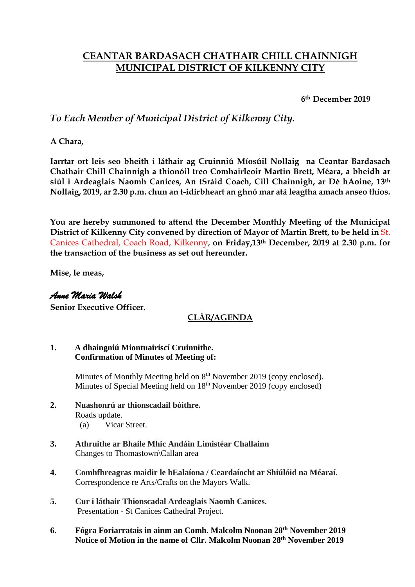# **CEANTAR BARDASACH CHATHAIR CHILL CHAINNIGH MUNICIPAL DISTRICT OF KILKENNY CITY**

**6th December 2019**

## *To Each Member of Municipal District of Kilkenny City.*

**A Chara,**

**Iarrtar ort leis seo bheith i láthair ag Cruinniú Míosúil Nollaig na Ceantar Bardasach Chathair Chill Chainnigh a thionóil treo Comhairleoir Martin Brett, Méara, a bheidh ar siúl i Ardeaglais Naomh Canices, An tSráid Coach, Cill Chainnigh, ar Dé hAoine, 13th Nollaig, 2019, ar 2.30 p.m. chun an t-idirbheart an ghnó mar atá leagtha amach anseo thíos.**

**You are hereby summoned to attend the December Monthly Meeting of the Municipal**  District of Kilkenny City convened by direction of Mayor of Martin Brett, to be held in St. Canices Cathedral, Coach Road, Kilkenny, **on Friday,13th December, 2019 at 2.30 p.m. for the transaction of the business as set out hereunder.**

**Mise, le meas,**

### *Anne Maria Walsh*

**Senior Executive Officer.**

### **CLÁR/AGENDA**

#### **1. A dhaingniú Miontuairiscí Cruinnithe. Confirmation of Minutes of Meeting of:**

Minutes of Monthly Meeting held on 8<sup>th</sup> November 2019 (copy enclosed). Minutes of Special Meeting held on 18<sup>th</sup> November 2019 (copy enclosed)

- **2. Nuashonrú ar thionscadail bóithre.**  Roads update.
	- (a) Vicar Street.
- **3. Athruithe ar Bhaile Mhic Andáin Limistéar Challainn** Changes to Thomastown\Callan area
- **4. Comhfhreagras maidir le hEalaíona / Ceardaíocht ar Shiúlóid na Méaraí.** Correspondence re Arts/Crafts on the Mayors Walk.
- **5. Cur i láthair Thionscadal Ardeaglais Naomh Canices.** Presentation - St Canices Cathedral Project.
- **6. Fógra Foriarratais in ainm an Comh. Malcolm Noonan 28th November 2019 Notice of Motion in the name of Cllr. Malcolm Noonan 28th November 2019**